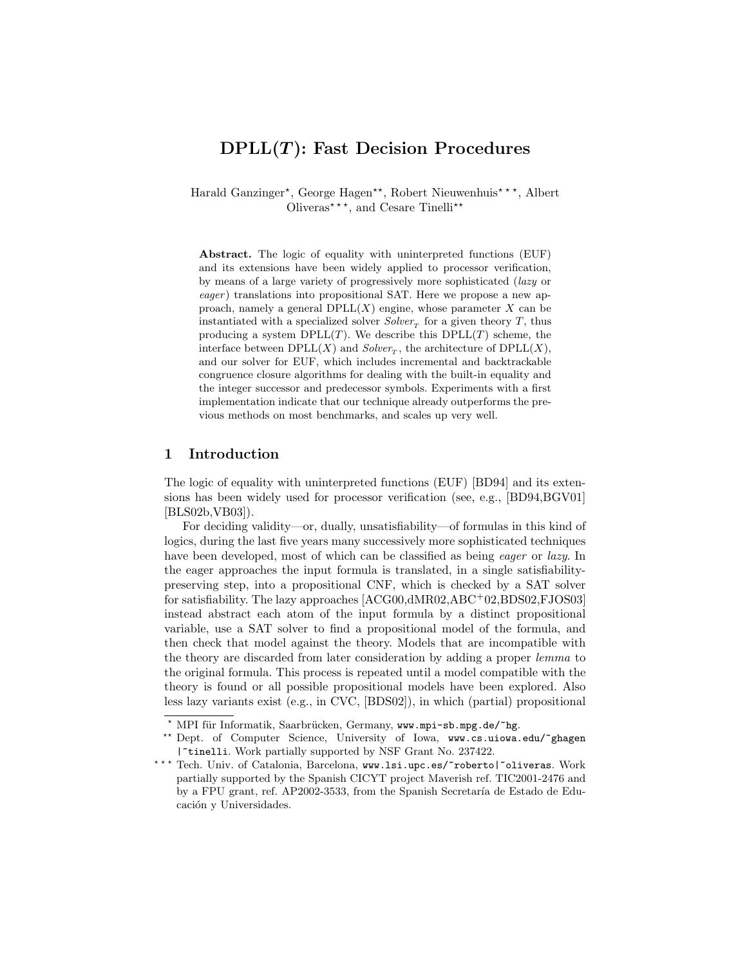# $DPLL(T)$ : Fast Decision Procedures

Harald Ganzinger\*, George Hagen\*\*, Robert Nieuwenhuis\*\*\*, Albert Oliveras<sup>\*\*\*</sup>, and Cesare Tinelli\*\*

Abstract. The logic of equality with uninterpreted functions (EUF) and its extensions have been widely applied to processor verification, by means of a large variety of progressively more sophisticated (lazy or eager) translations into propositional SAT. Here we propose a new approach, namely a general  $DPLL(X)$  engine, whose parameter X can be instantiated with a specialized solver  $Solver<sub>T</sub>$  for a given theory T, thus producing a system  $DPLL(T)$ . We describe this  $DPLL(T)$  scheme, the interface between  $DPLL(X)$  and  $Solver_T$ , the architecture of  $DPLL(X)$ , and our solver for EUF, which includes incremental and backtrackable congruence closure algorithms for dealing with the built-in equality and the integer successor and predecessor symbols. Experiments with a first implementation indicate that our technique already outperforms the previous methods on most benchmarks, and scales up very well.

### 1 Introduction

The logic of equality with uninterpreted functions (EUF) [BD94] and its extensions has been widely used for processor verification (see, e.g., [BD94,BGV01] [BLS02b,VB03]).

For deciding validity—or, dually, unsatisfiability—of formulas in this kind of logics, during the last five years many successively more sophisticated techniques have been developed, most of which can be classified as being *eager* or *lazy*. In the eager approaches the input formula is translated, in a single satisfiabilitypreserving step, into a propositional CNF, which is checked by a SAT solver for satisfiability. The lazy approaches [ACG00,dMR02,ABC<sup>+</sup>02,BDS02,FJOS03] instead abstract each atom of the input formula by a distinct propositional variable, use a SAT solver to find a propositional model of the formula, and then check that model against the theory. Models that are incompatible with the theory are discarded from later consideration by adding a proper lemma to the original formula. This process is repeated until a model compatible with the theory is found or all possible propositional models have been explored. Also less lazy variants exist (e.g., in CVC, [BDS02]), in which (partial) propositional

 $*$  MPI für Informatik, Saarbrücken, Germany, www.mpi-sb.mpg.de/ $*$ hg.

<sup>\*\*</sup> Dept. of Computer Science, University of Iowa, www.cs.uiowa.edu/~ghagen |~tinelli. Work partially supported by NSF Grant No. 237422.

<sup>\*\*\*</sup> Tech. Univ. of Catalonia, Barcelona, www.lsi.upc.es/~roberto|~oliveras. Work partially supported by the Spanish CICYT project Maverish ref. TIC2001-2476 and by a FPU grant, ref. AP2002-3533, from the Spanish Secretaría de Estado de Educación y Universidades.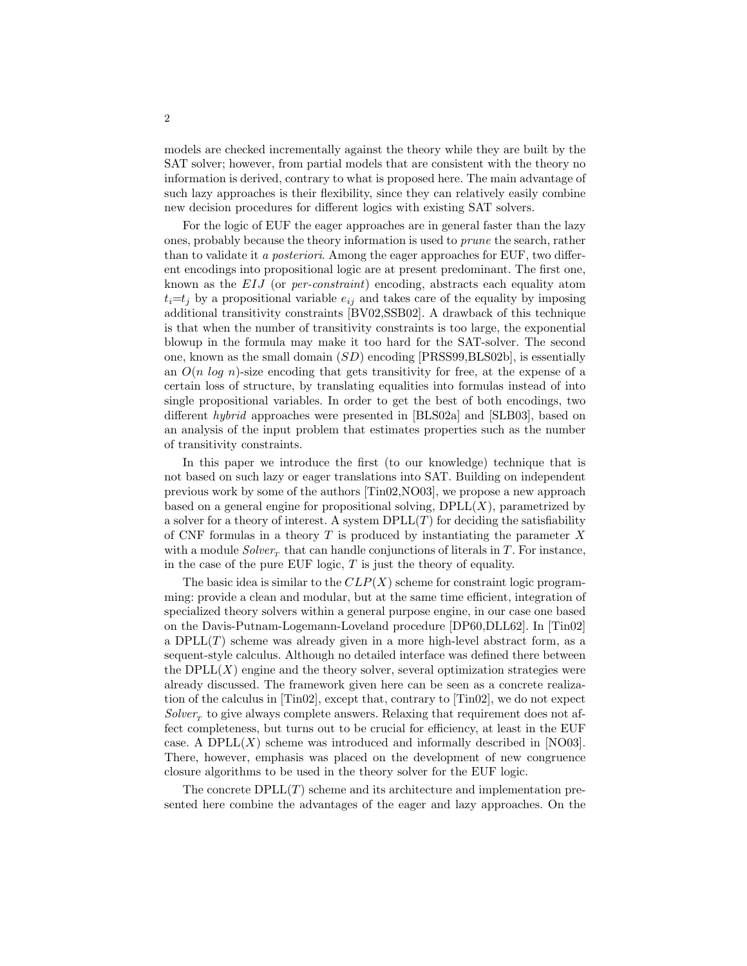models are checked incrementally against the theory while they are built by the SAT solver; however, from partial models that are consistent with the theory no information is derived, contrary to what is proposed here. The main advantage of such lazy approaches is their flexibility, since they can relatively easily combine new decision procedures for different logics with existing SAT solvers.

For the logic of EUF the eager approaches are in general faster than the lazy ones, probably because the theory information is used to prune the search, rather than to validate it a posteriori. Among the eager approaches for EUF, two different encodings into propositional logic are at present predominant. The first one, known as the EIJ (or per-constraint) encoding, abstracts each equality atom  $t_i=t_j$  by a propositional variable  $e_{ij}$  and takes care of the equality by imposing additional transitivity constraints [BV02,SSB02]. A drawback of this technique is that when the number of transitivity constraints is too large, the exponential blowup in the formula may make it too hard for the SAT-solver. The second one, known as the small domain  $(SD)$  encoding [PRSS99,BLS02b], is essentially an  $O(n \log n)$ -size encoding that gets transitivity for free, at the expense of a certain loss of structure, by translating equalities into formulas instead of into single propositional variables. In order to get the best of both encodings, two different hybrid approaches were presented in [BLS02a] and [SLB03], based on an analysis of the input problem that estimates properties such as the number of transitivity constraints.

In this paper we introduce the first (to our knowledge) technique that is not based on such lazy or eager translations into SAT. Building on independent previous work by some of the authors [Tin02,NO03], we propose a new approach based on a general engine for propositional solving,  $DPLL(X)$ , parametrized by a solver for a theory of interest. A system  $DPLL(T)$  for deciding the satisfiability of CNF formulas in a theory  $T$  is produced by instantiating the parameter  $X$ with a module  $Solver_{T}$  that can handle conjunctions of literals in T. For instance, in the case of the pure EUF logic,  $T$  is just the theory of equality.

The basic idea is similar to the  $CLP(X)$  scheme for constraint logic programming: provide a clean and modular, but at the same time efficient, integration of specialized theory solvers within a general purpose engine, in our case one based on the Davis-Putnam-Logemann-Loveland procedure [DP60,DLL62]. In [Tin02] a  $DPLL(T)$  scheme was already given in a more high-level abstract form, as a sequent-style calculus. Although no detailed interface was defined there between the  $DPLL(X)$  engine and the theory solver, several optimization strategies were already discussed. The framework given here can be seen as a concrete realization of the calculus in [Tin02], except that, contrary to [Tin02], we do not expect  $Solver<sub>r</sub>$  to give always complete answers. Relaxing that requirement does not affect completeness, but turns out to be crucial for efficiency, at least in the EUF case. A DPLL $(X)$  scheme was introduced and informally described in [NO03]. There, however, emphasis was placed on the development of new congruence closure algorithms to be used in the theory solver for the EUF logic.

The concrete  $DPLL(T)$  scheme and its architecture and implementation presented here combine the advantages of the eager and lazy approaches. On the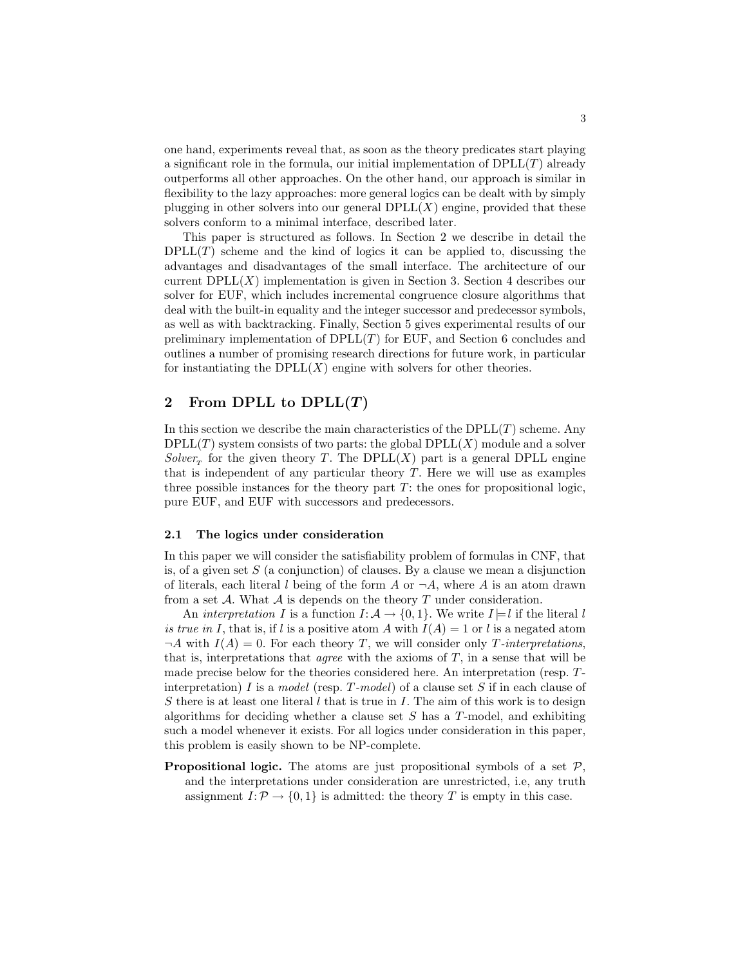one hand, experiments reveal that, as soon as the theory predicates start playing a significant role in the formula, our initial implementation of  $DPLL(T)$  already outperforms all other approaches. On the other hand, our approach is similar in flexibility to the lazy approaches: more general logics can be dealt with by simply plugging in other solvers into our general  $DPLL(X)$  engine, provided that these solvers conform to a minimal interface, described later.

This paper is structured as follows. In Section 2 we describe in detail the  $DPLL(T)$  scheme and the kind of logics it can be applied to, discussing the advantages and disadvantages of the small interface. The architecture of our current  $DPLL(X)$  implementation is given in Section 3. Section 4 describes our solver for EUF, which includes incremental congruence closure algorithms that deal with the built-in equality and the integer successor and predecessor symbols, as well as with backtracking. Finally, Section 5 gives experimental results of our preliminary implementation of  $DPLL(T)$  for EUF, and Section 6 concludes and outlines a number of promising research directions for future work, in particular for instantiating the  $DPLL(X)$  engine with solvers for other theories.

# 2 From DPLL to  $DPLL(T)$

In this section we describe the main characteristics of the  $DPLL(T)$  scheme. Any  $DPLL(T)$  system consists of two parts: the global  $DPLL(X)$  module and a solver  $Solver<sub>T</sub>$  for the given theory T. The DPLL(X) part is a general DPLL engine that is independent of any particular theory  $T$ . Here we will use as examples three possible instances for the theory part  $T$ : the ones for propositional logic, pure EUF, and EUF with successors and predecessors.

#### 2.1 The logics under consideration

In this paper we will consider the satisfiability problem of formulas in CNF, that is, of a given set  $S$  (a conjunction) of clauses. By a clause we mean a disjunction of literals, each literal l being of the form A or  $\neg A$ , where A is an atom drawn from a set A. What A is depends on the theory T under consideration.

An interpretation I is a function  $I: \mathcal{A} \to \{0,1\}$ . We write  $I \models l$  if the literal l is true in I, that is, if l is a positive atom A with  $I(A) = 1$  or l is a negated atom  $\neg A$  with  $I(A) = 0$ . For each theory T, we will consider only T-interpretations, that is, interpretations that *agree* with the axioms of  $T$ , in a sense that will be made precise below for the theories considered here. An interpretation (resp. Tinterpretation) I is a model (resp. T-model) of a clause set S if in each clause of S there is at least one literal l that is true in I. The aim of this work is to design algorithms for deciding whether a clause set  $S$  has a  $T$ -model, and exhibiting such a model whenever it exists. For all logics under consideration in this paper, this problem is easily shown to be NP-complete.

**Propositional logic.** The atoms are just propositional symbols of a set  $P$ , and the interpretations under consideration are unrestricted, i.e, any truth assignment  $I: \mathcal{P} \to \{0,1\}$  is admitted: the theory T is empty in this case.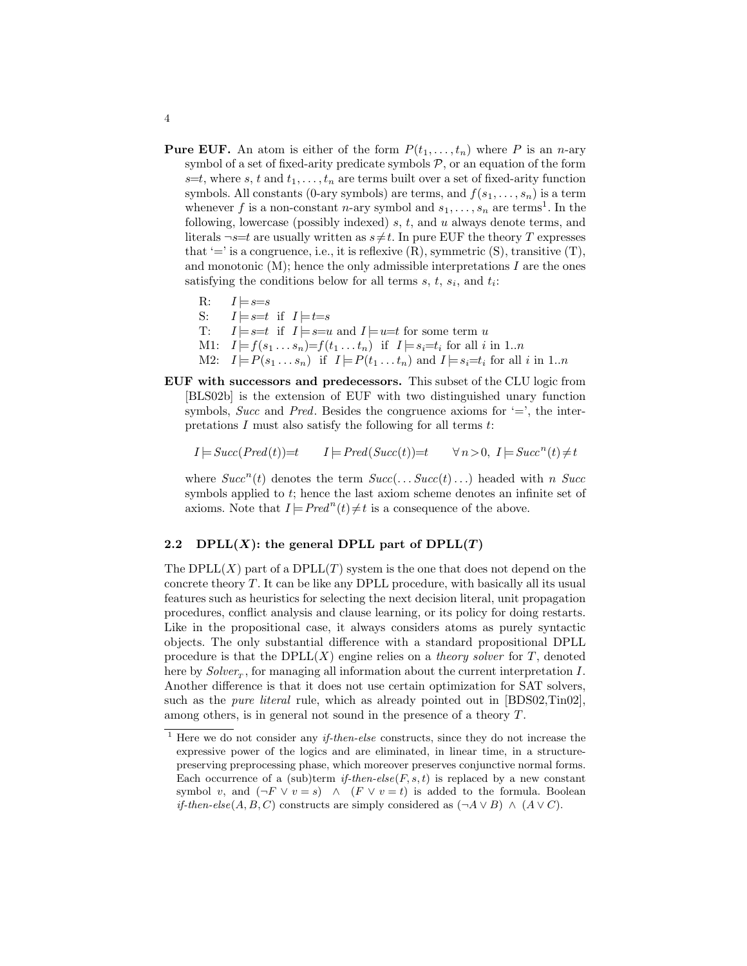- **Pure EUF.** An atom is either of the form  $P(t_1, \ldots, t_n)$  where P is an n-ary symbol of a set of fixed-arity predicate symbols  $P$ , or an equation of the form  $s=t$ , where s, t and  $t_1, \ldots, t_n$  are terms built over a set of fixed-arity function symbols. All constants (0-ary symbols) are terms, and  $f(s_1, \ldots, s_n)$  is a term whenever f is a non-constant n-ary symbol and  $s_1, \ldots, s_n$  are terms<sup>1</sup>. In the following, lowercase (possibly indexed)  $s, t$ , and  $u$  always denote terms, and literals  $\neg s=t$  are usually written as  $s\neq t$ . In pure EUF the theory T expresses that  $'=$  is a congruence, i.e., it is reflexive  $(R)$ , symmetric  $(S)$ , transitive  $(T)$ , and monotonic  $(M)$ ; hence the only admissible interpretations  $I$  are the ones satisfying the conditions below for all terms  $s, t, s_i$ , and  $t_i$ :
	- R:  $I \models s=s$ S:  $I \models s=t$  if  $I \models t=s$ T:  $I \models s=t$  if  $I \models s=u$  and  $I \models u=t$  for some term u M1:  $I \models f(s_1 \dots s_n) = f(t_1 \dots t_n)$  if  $I \models s_i = t_i$  for all i in 1..n M2:  $I \models P(s_1 \dots s_n)$  if  $I \models P(t_1 \dots t_n)$  and  $I \models s_i = t_i$  for all i in 1..n
- EUF with successors and predecessors. This subset of the CLU logic from [BLS02b] is the extension of EUF with two distinguished unary function symbols, Succ and Pred. Besides the congruence axioms for  $\equiv$ , the interpretations  $I$  must also satisfy the following for all terms  $t$ .

$$
I \models Succ(Pred(t)) = t \qquad I \models Pred(Succ(t)) = t \qquad \forall n > 0, \ I \models Succ^n(t) \neq t
$$

where  $Succ<sup>n</sup>(t)$  denotes the term  $Succ(\ldots Succ(t) \ldots)$  headed with n Succ symbols applied to t; hence the last axiom scheme denotes an infinite set of axioms. Note that  $I \models Pred^n(t) \neq t$  is a consequence of the above.

# 2.2 DPLL $(X)$ : the general DPLL part of DPLL $(T)$

The  $DPLL(X)$  part of a  $DPLL(T)$  system is the one that does not depend on the concrete theory  $T$ . It can be like any DPLL procedure, with basically all its usual features such as heuristics for selecting the next decision literal, unit propagation procedures, conflict analysis and clause learning, or its policy for doing restarts. Like in the propositional case, it always considers atoms as purely syntactic objects. The only substantial difference with a standard propositional DPLL procedure is that the  $DPLL(X)$  engine relies on a *theory solver* for T, denoted here by  $Solver_{T}$ , for managing all information about the current interpretation I. Another difference is that it does not use certain optimization for SAT solvers, such as the *pure literal* rule, which as already pointed out in [BDS02,Tin02], among others, is in general not sound in the presence of a theory T.

4

 $1$  Here we do not consider any *if-then-else* constructs, since they do not increase the expressive power of the logics and are eliminated, in linear time, in a structurepreserving preprocessing phase, which moreover preserves conjunctive normal forms. Each occurrence of a (sub)term if-then-else( $F, s, t$ ) is replaced by a new constant symbol v, and  $(\neg F \lor v = s) \land (F \lor v = t)$  is added to the formula. Boolean if-then-else(A, B, C) constructs are simply considered as  $(\neg A \lor B) \land (A \lor C)$ .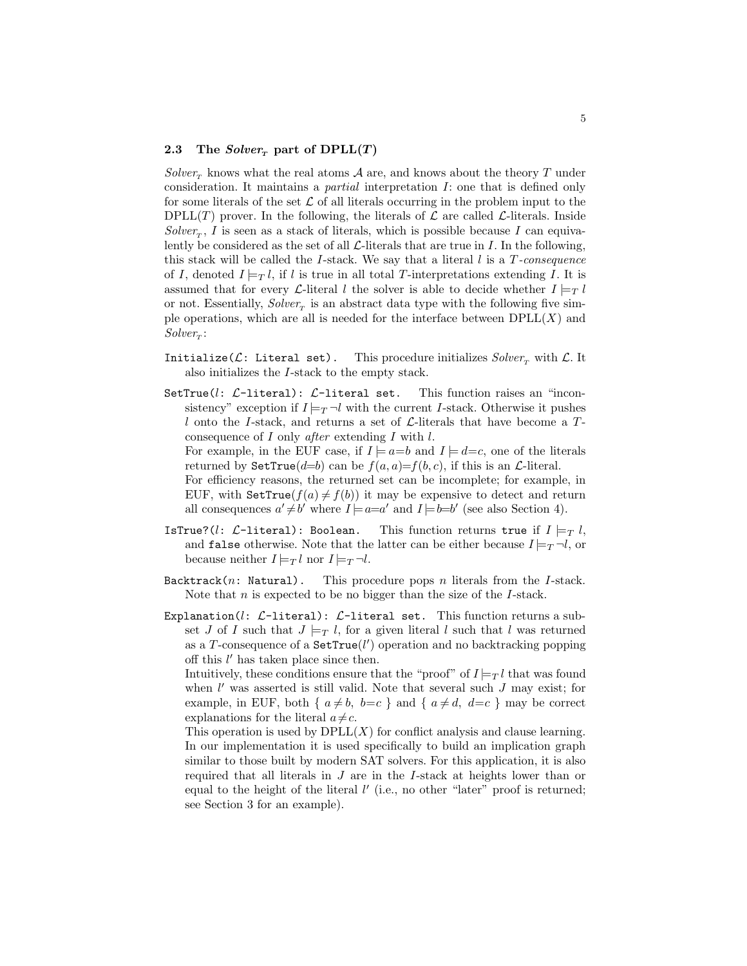#### 2.3 The Solver<sub>r</sub> part of  $DPLL(T)$

Solver<sub>r</sub> knows what the real atoms A are, and knows about the theory T under consideration. It maintains a partial interpretation I: one that is defined only for some literals of the set  $\mathcal L$  of all literals occurring in the problem input to the DPLL(T) prover. In the following, the literals of  $\mathcal L$  are called  $\mathcal L$ -literals. Inside  $Solver_{T}$ , I is seen as a stack of literals, which is possible because I can equivalently be considered as the set of all  $\mathcal{L}\text{-literals}$  that are true in I. In the following, this stack will be called the I-stack. We say that a literal  $l$  is a  $T$ -consequence of I, denoted  $I \models_{T} l$ , if l is true in all total T-interpretations extending I. It is assumed that for every *L*-literal l the solver is able to decide whether  $I \models T$ or not. Essentially,  $Solver_T$  is an abstract data type with the following five simple operations, which are all is needed for the interface between  $DPLL(X)$  and  $Solver_T$ :

- Initialize( $\mathcal{L}$ : Literal set). This procedure initializes  $Solver_{\tau}$  with  $\mathcal{L}$ . It also initializes the I-stack to the empty stack.
- SetTrue( $l: \mathcal{L}$ -literal):  $\mathcal{L}$ -literal set. This function raises an "inconsistency" exception if  $I \models_T \neg l$  with the current I-stack. Otherwise it pushes l onto the I-stack, and returns a set of  $\mathcal{L}$ -literals that have become a Tconsequence of  $I$  only *after* extending  $I$  with  $l$ .

For example, in the EUF case, if  $I \models a=b$  and  $I \models d=c$ , one of the literals returned by  $\texttt{SetTrue}(d=b)$  can be  $f(a, a)=f(b, c)$ , if this is an *L*-literal. For efficiency reasons, the returned set can be incomplete; for example, in EUF, with SetTrue( $f(a) \neq f(b)$ ) it may be expensive to detect and return

- all consequences  $a' \neq b'$  where  $I \models a=a'$  and  $I \models b=b'$  (see also Section 4).
- IsTrue?(*l*: *L*-literal): Boolean. This function returns true if  $I \models_T l$ , and false otherwise. Note that the latter can be either because  $I \models_T \neg l$ , or because neither  $I \models_T l$  nor  $I \models_T \neg l$ .
- $Backtrack(n: Natural).$  This procedure pops *n* literals from the *I*-stack. Note that  $n$  is expected to be no bigger than the size of the  $I$ -stack.
- Explanation(*l*:  $\mathcal{L}\text{-literal}$ ):  $\mathcal{L}\text{-literal}$  set. This function returns a subset J of I such that  $J \models_{T} l$ , for a given literal l such that l was returned as a T-consequence of a  $\texttt{SetTrue}(l')$  operation and no backtracking popping off this  $l'$  has taken place since then.

Intuitively, these conditions ensure that the "proof" of  $I \models_{T} l$  that was found when  $l'$  was asserted is still valid. Note that several such  $J$  may exist; for example, in EUF, both {  $a \neq b$ ,  $b=c$  } and {  $a \neq d$ ,  $d=c$  } may be correct explanations for the literal  $a \neq c$ .

This operation is used by  $DPLL(X)$  for conflict analysis and clause learning. In our implementation it is used specifically to build an implication graph similar to those built by modern SAT solvers. For this application, it is also required that all literals in J are in the I-stack at heights lower than or equal to the height of the literal  $l'$  (i.e., no other "later" proof is returned; see Section 3 for an example).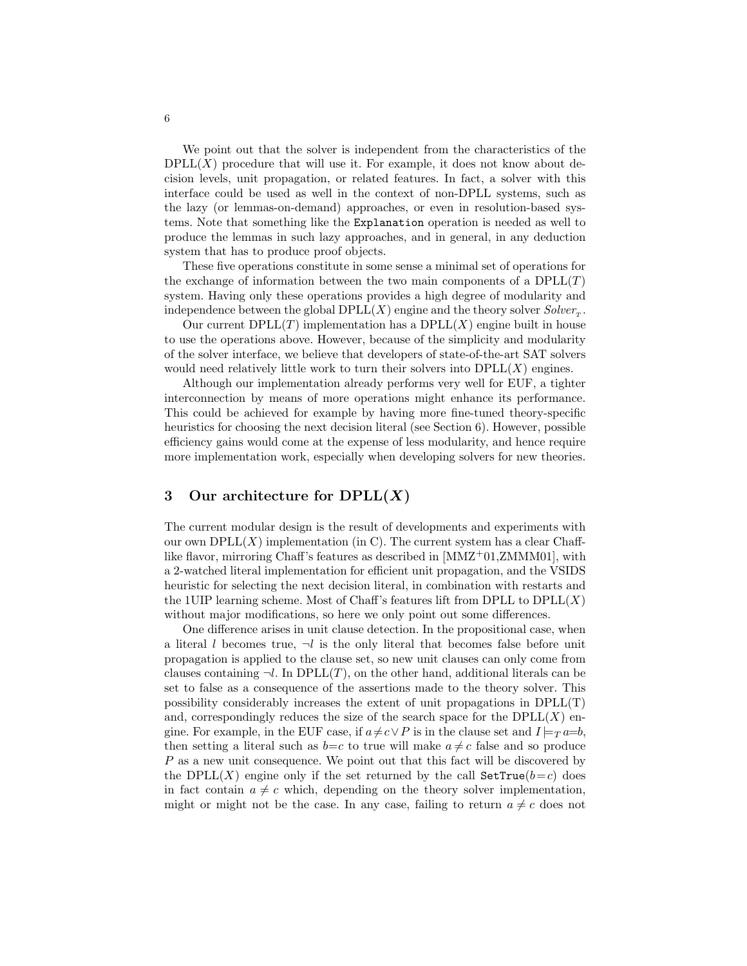We point out that the solver is independent from the characteristics of the  $DPLL(X)$  procedure that will use it. For example, it does not know about decision levels, unit propagation, or related features. In fact, a solver with this interface could be used as well in the context of non-DPLL systems, such as the lazy (or lemmas-on-demand) approaches, or even in resolution-based systems. Note that something like the Explanation operation is needed as well to produce the lemmas in such lazy approaches, and in general, in any deduction system that has to produce proof objects.

These five operations constitute in some sense a minimal set of operations for the exchange of information between the two main components of a  $DPLL(T)$ system. Having only these operations provides a high degree of modularity and independence between the global  $DPLL(X)$  engine and the theory solver  $Solver_T$ .

Our current  $DPLL(T)$  implementation has a  $DPLL(X)$  engine built in house to use the operations above. However, because of the simplicity and modularity of the solver interface, we believe that developers of state-of-the-art SAT solvers would need relatively little work to turn their solvers into  $DPLL(X)$  engines.

Although our implementation already performs very well for EUF, a tighter interconnection by means of more operations might enhance its performance. This could be achieved for example by having more fine-tuned theory-specific heuristics for choosing the next decision literal (see Section 6). However, possible efficiency gains would come at the expense of less modularity, and hence require more implementation work, especially when developing solvers for new theories.

# 3 Our architecture for  $DPLL(X)$

The current modular design is the result of developments and experiments with our own  $DPLL(X)$  implementation (in C). The current system has a clear Chafflike flavor, mirroring Chaff's features as described in  $[MMZ<sup>+</sup>01,ZMMM01]$ , with a 2-watched literal implementation for efficient unit propagation, and the VSIDS heuristic for selecting the next decision literal, in combination with restarts and the 1UIP learning scheme. Most of Chaff's features lift from DPLL to  $DPLL(X)$ without major modifications, so here we only point out some differences.

One difference arises in unit clause detection. In the propositional case, when a literal l becomes true,  $\neg l$  is the only literal that becomes false before unit propagation is applied to the clause set, so new unit clauses can only come from clauses containing  $\neg l$ . In DPLL(T), on the other hand, additional literals can be set to false as a consequence of the assertions made to the theory solver. This possibility considerably increases the extent of unit propagations in DPLL(T) and, correspondingly reduces the size of the search space for the  $DPLL(X)$  engine. For example, in the EUF case, if  $a \neq c \vee P$  is in the clause set and  $I \models_T a=b$ , then setting a literal such as  $b=c$  to true will make  $a \neq c$  false and so produce P as a new unit consequence. We point out that this fact will be discovered by the DPLL(X) engine only if the set returned by the call  $\texttt{SetTrue}(b=c)$  does in fact contain  $a \neq c$  which, depending on the theory solver implementation, might or might not be the case. In any case, failing to return  $a \neq c$  does not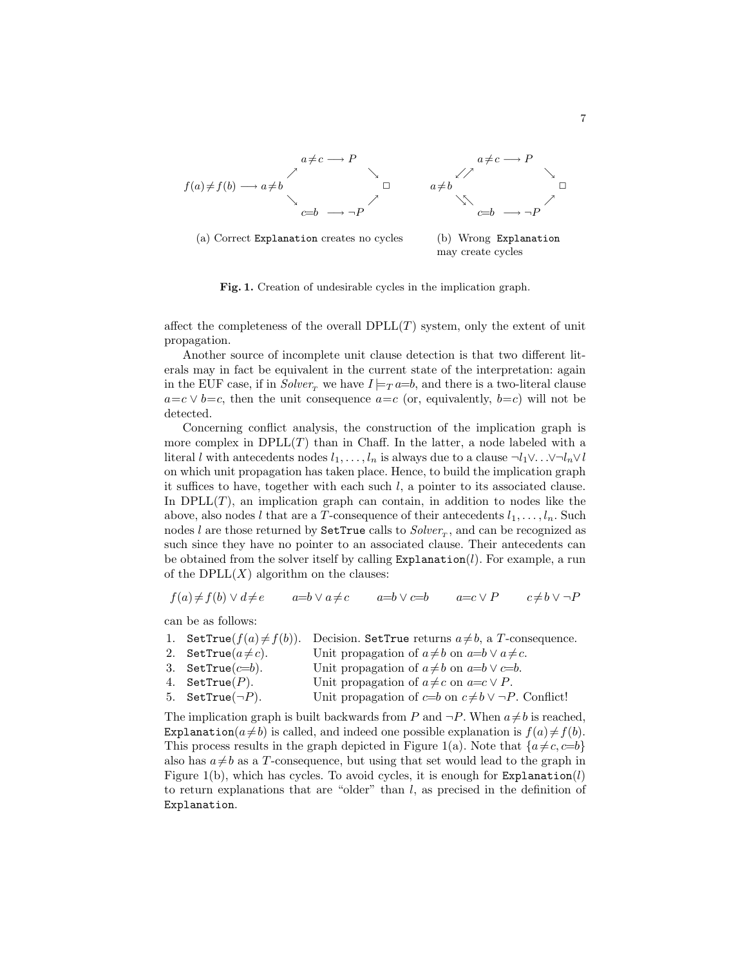

Fig. 1. Creation of undesirable cycles in the implication graph.

affect the completeness of the overall  $DPLL(T)$  system, only the extent of unit propagation.

Another source of incomplete unit clause detection is that two different literals may in fact be equivalent in the current state of the interpretation: again in the EUF case, if in  $Solver_{\tau}$  we have  $I \models_T a=b$ , and there is a two-literal clause  $a=c \vee b=c$ , then the unit consequence  $a=c$  (or, equivalently,  $b=c$ ) will not be detected.

Concerning conflict analysis, the construction of the implication graph is more complex in  $DPLL(T)$  than in Chaff. In the latter, a node labeled with a literal l with antecedents nodes  $l_1, \ldots, l_n$  is always due to a clause  $\neg l_1 \vee \ldots \vee \neg l_n \vee l$ on which unit propagation has taken place. Hence, to build the implication graph it suffices to have, together with each such  $l$ , a pointer to its associated clause. In  $DPLL(T)$ , an implication graph can contain, in addition to nodes like the above, also nodes l that are a T-consequence of their antecedents  $l_1, \ldots, l_n$ . Such nodes l are those returned by  $\texttt{SetTrue}$  calls to  $Solver_T$ , and can be recognized as such since they have no pointer to an associated clause. Their antecedents can be obtained from the solver itself by calling  $Expl$  and  $(l)$ . For example, a run of the  $DPLL(X)$  algorithm on the clauses:

$$
f(a) \neq f(b) \lor d \neq e \qquad a=b \lor a \neq c \qquad a=b \lor c=b \qquad a=c \lor P \qquad c \neq b \lor \neg P
$$

can be as follows:

| 1. SetTrue $(f(a) \neq f(b))$ . | Decision. SetTrue returns $a \neq b$ , a T-consequence.         |
|---------------------------------|-----------------------------------------------------------------|
| 2. SetTrue $(a \neq c)$ .       | Unit propagation of $a \neq b$ on $a=b \vee a \neq c$ .         |
| 3. SetTrue $(c=b)$ .            | Unit propagation of $a \neq b$ on $a=b \vee c=b$ .              |
| 4. SetTrue $(P)$ .              | Unit propagation of $a \neq c$ on $a = c \vee P$ .              |
| 5. SetTrue $(\neg P)$ .         | Unit propagation of $c=b$ on $c \neq b \vee \neg P$ . Conflict! |

The implication graph is built backwards from P and  $\neg P$ . When  $a \neq b$  is reached, Explanation( $a\neq b$ ) is called, and indeed one possible explanation is  $f(a)\neq f(b)$ . This process results in the graph depicted in Figure 1(a). Note that  $\{a \neq c, c=b\}$ also has  $a \neq b$  as a T-consequence, but using that set would lead to the graph in Figure 1(b), which has cycles. To avoid cycles, it is enough for  $\text{Explanation}(l)$ to return explanations that are "older" than  $l$ , as precised in the definition of Explanation.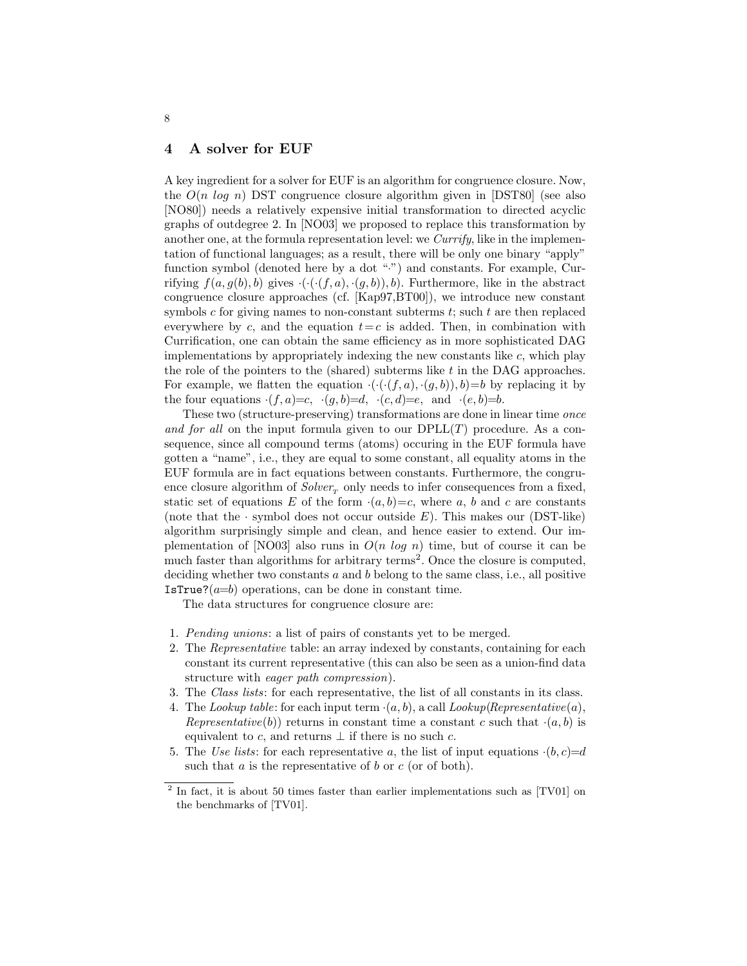### 4 A solver for EUF

A key ingredient for a solver for EUF is an algorithm for congruence closure. Now, the  $O(n \log n)$  DST congruence closure algorithm given in [DST80] (see also [NO80]) needs a relatively expensive initial transformation to directed acyclic graphs of outdegree 2. In [NO03] we proposed to replace this transformation by another one, at the formula representation level: we Currify, like in the implementation of functional languages; as a result, there will be only one binary "apply" function symbol (denoted here by a dot ".") and constants. For example, Currifying  $f(a, g(b), b)$  gives  $\cdot (\cdot (f, a), \cdot (g, b)), b$ . Furthermore, like in the abstract congruence closure approaches (cf. [Kap97,BT00]), we introduce new constant symbols c for giving names to non-constant subterms  $t$ ; such  $t$  are then replaced everywhere by c, and the equation  $t=c$  is added. Then, in combination with Currification, one can obtain the same efficiency as in more sophisticated DAG implementations by appropriately indexing the new constants like c, which play the role of the pointers to the (shared) subterms like t in the DAG approaches. For example, we flatten the equation  $\cdot(\cdot(f, a), \cdot(g, b)), b)=b$  by replacing it by the four equations  $\cdot (f, a)=c$ ,  $\cdot (g, b)=d$ ,  $\cdot (c, d)=e$ , and  $\cdot (e, b)=b$ .

These two (structure-preserving) transformations are done in linear time once and for all on the input formula given to our  $DPLL(T)$  procedure. As a consequence, since all compound terms (atoms) occuring in the EUF formula have gotten a "name", i.e., they are equal to some constant, all equality atoms in the EUF formula are in fact equations between constants. Furthermore, the congruence closure algorithm of  $Solver<sub>r</sub>$  only needs to infer consequences from a fixed, static set of equations E of the form  $(a, b)=c$ , where a, b and c are constants (note that the  $\cdot$  symbol does not occur outside E). This makes our (DST-like) algorithm surprisingly simple and clean, and hence easier to extend. Our implementation of [NO03] also runs in  $O(n \log n)$  time, but of course it can be much faster than algorithms for arbitrary terms<sup>2</sup>. Once the closure is computed, deciding whether two constants  $a$  and  $b$  belong to the same class, i.e., all positive IsTrue? $(a=b)$  operations, can be done in constant time.

The data structures for congruence closure are:

- 1. Pending unions: a list of pairs of constants yet to be merged.
- 2. The Representative table: an array indexed by constants, containing for each constant its current representative (this can also be seen as a union-find data structure with eager path compression).
- 3. The Class lists: for each representative, the list of all constants in its class.
- 4. The Lookup table: for each input term  $\cdot(a, b)$ , a call Lookup(Representative(a), Representative(b)) returns in constant time a constant c such that  $\cdot(a, b)$  is equivalent to c, and returns  $\perp$  if there is no such c.
- 5. The Use lists: for each representative a, the list of input equations  $\cdot(b, c)=d$ such that  $a$  is the representative of  $b$  or  $c$  (or of both).

<sup>&</sup>lt;sup>2</sup> In fact, it is about 50 times faster than earlier implementations such as [TV01] on the benchmarks of [TV01].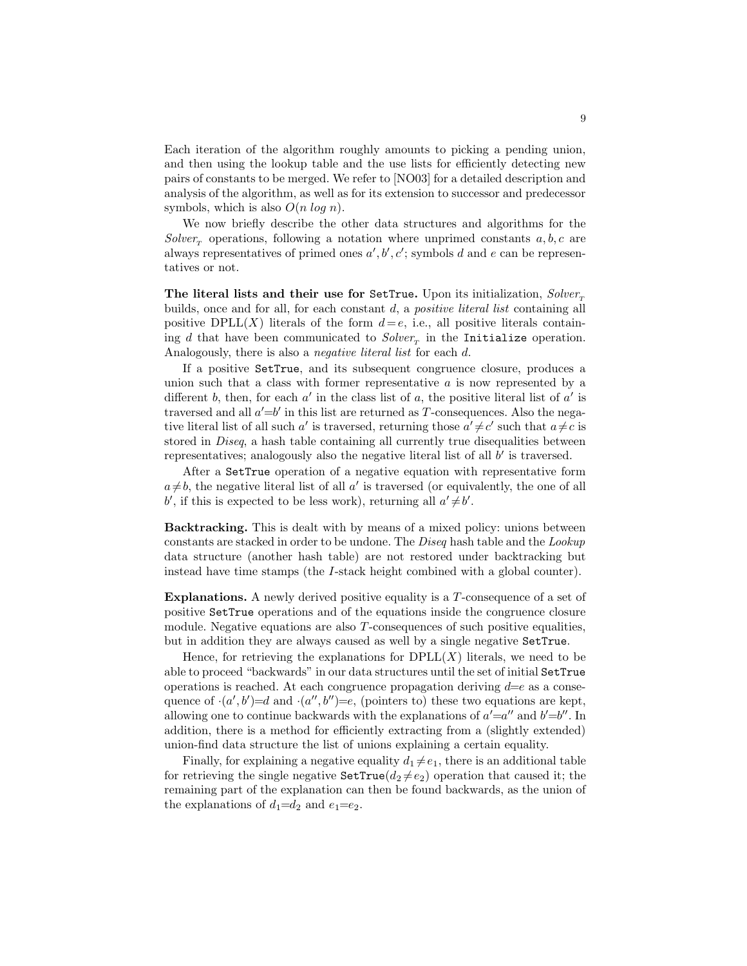Each iteration of the algorithm roughly amounts to picking a pending union, and then using the lookup table and the use lists for efficiently detecting new pairs of constants to be merged. We refer to [NO03] for a detailed description and analysis of the algorithm, as well as for its extension to successor and predecessor symbols, which is also  $O(n \log n)$ .

We now briefly describe the other data structures and algorithms for the  $Solver<sub>r</sub>$  operations, following a notation where unprimed constants  $a, b, c$  are always representatives of primed ones  $a', b', c'$ ; symbols d and e can be representatives or not.

The literal lists and their use for SetTrue. Upon its initialization,  $Solver_T$ builds, once and for all, for each constant  $d$ , a *positive literal list* containing all positive DPLL(X) literals of the form  $d=e$ , i.e., all positive literals containing d that have been communicated to  $Solver_{T}$  in the Initialize operation. Analogously, there is also a *negative literal list* for each d.

If a positive SetTrue, and its subsequent congruence closure, produces a union such that a class with former representative  $\alpha$  is now represented by a different b, then, for each a' in the class list of a, the positive literal list of  $a'$  is traversed and all  $a' = b'$  in this list are returned as T-consequences. Also the negative literal list of all such a' is traversed, returning those  $a' \neq c'$  such that  $a \neq c$  is stored in Diseq, a hash table containing all currently true disequalities between representatives; analogously also the negative literal list of all  $b'$  is traversed.

After a SetTrue operation of a negative equation with representative form  $a \neq b$ , the negative literal list of all  $a'$  is traversed (or equivalently, the one of all b', if this is expected to be less work), returning all  $a' \neq b'$ .

Backtracking. This is dealt with by means of a mixed policy: unions between constants are stacked in order to be undone. The Diseq hash table and the Lookup data structure (another hash table) are not restored under backtracking but instead have time stamps (the I-stack height combined with a global counter).

Explanations. A newly derived positive equality is a  $T$ -consequence of a set of positive SetTrue operations and of the equations inside the congruence closure module. Negative equations are also T-consequences of such positive equalities, but in addition they are always caused as well by a single negative SetTrue.

Hence, for retrieving the explanations for  $DPLL(X)$  literals, we need to be able to proceed "backwards" in our data structures until the set of initial SetTrue operations is reached. At each congruence propagation deriving  $d=e$  as a consequence of  $(a', b') = d$  and  $(a'', b'') = e$ , (pointers to) these two equations are kept, allowing one to continue backwards with the explanations of  $a' = a''$  and  $b' = b''$ . In addition, there is a method for efficiently extracting from a (slightly extended) union-find data structure the list of unions explaining a certain equality.

Finally, for explaining a negative equality  $d_1 \neq e_1$ , there is an additional table for retrieving the single negative  $\texttt{SetTrue}(d_2 \neq e_2)$  operation that caused it; the remaining part of the explanation can then be found backwards, as the union of the explanations of  $d_1=d_2$  and  $e_1=e_2$ .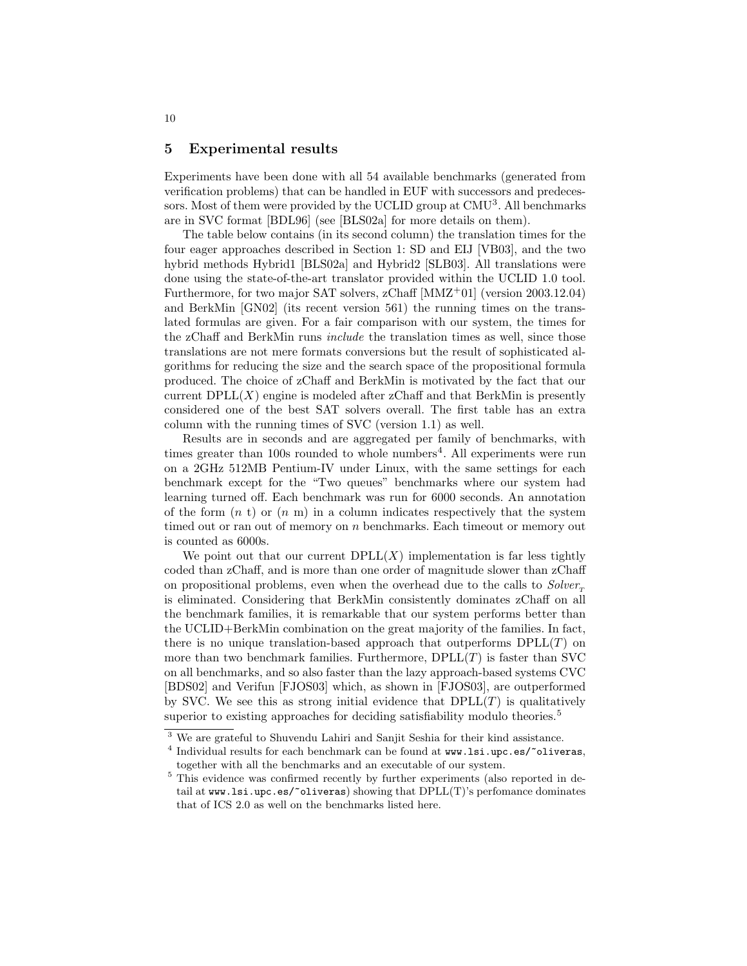### 5 Experimental results

Experiments have been done with all 54 available benchmarks (generated from verification problems) that can be handled in EUF with successors and predecessors. Most of them were provided by the UCLID group at CMU<sup>3</sup>. All benchmarks are in SVC format [BDL96] (see [BLS02a] for more details on them).

The table below contains (in its second column) the translation times for the four eager approaches described in Section 1: SD and EIJ [VB03], and the two hybrid methods Hybrid1 [BLS02a] and Hybrid2 [SLB03]. All translations were done using the state-of-the-art translator provided within the UCLID 1.0 tool. Furthermore, for two major SAT solvers, zChaff [MMZ<sup>+</sup>01] (version 2003.12.04) and BerkMin [GN02] (its recent version 561) the running times on the translated formulas are given. For a fair comparison with our system, the times for the zChaff and BerkMin runs include the translation times as well, since those translations are not mere formats conversions but the result of sophisticated algorithms for reducing the size and the search space of the propositional formula produced. The choice of zChaff and BerkMin is motivated by the fact that our current  $DPLL(X)$  engine is modeled after zChaff and that BerkMin is presently considered one of the best SAT solvers overall. The first table has an extra column with the running times of SVC (version 1.1) as well.

Results are in seconds and are aggregated per family of benchmarks, with times greater than 100s rounded to whole numbers<sup>4</sup>. All experiments were run on a 2GHz 512MB Pentium-IV under Linux, with the same settings for each benchmark except for the "Two queues" benchmarks where our system had learning turned off. Each benchmark was run for 6000 seconds. An annotation of the form  $(n \t{t})$  or  $(n \t{m})$  in a column indicates respectively that the system timed out or ran out of memory on n benchmarks. Each timeout or memory out is counted as 6000s.

We point out that our current  $DPLL(X)$  implementation is far less tightly coded than zChaff, and is more than one order of magnitude slower than zChaff on propositional problems, even when the overhead due to the calls to  $Solver_{\tau}$ is eliminated. Considering that BerkMin consistently dominates zChaff on all the benchmark families, it is remarkable that our system performs better than the UCLID+BerkMin combination on the great majority of the families. In fact, there is no unique translation-based approach that outperforms  $DPLL(T)$  on more than two benchmark families. Furthermore,  $DPLL(T)$  is faster than SVC on all benchmarks, and so also faster than the lazy approach-based systems CVC [BDS02] and Verifun [FJOS03] which, as shown in [FJOS03], are outperformed by SVC. We see this as strong initial evidence that  $DPLL(T)$  is qualitatively superior to existing approaches for deciding satisfiability modulo theories.<sup>5</sup>

<sup>3</sup> We are grateful to Shuvendu Lahiri and Sanjit Seshia for their kind assistance.

<sup>&</sup>lt;sup>4</sup> Individual results for each benchmark can be found at www.lsi.upc.es/~oliveras, together with all the benchmarks and an executable of our system.

<sup>5</sup> This evidence was confirmed recently by further experiments (also reported in detail at www.lsi.upc.es/~oliveras) showing that DPLL(T)'s perfomance dominates that of ICS 2.0 as well on the benchmarks listed here.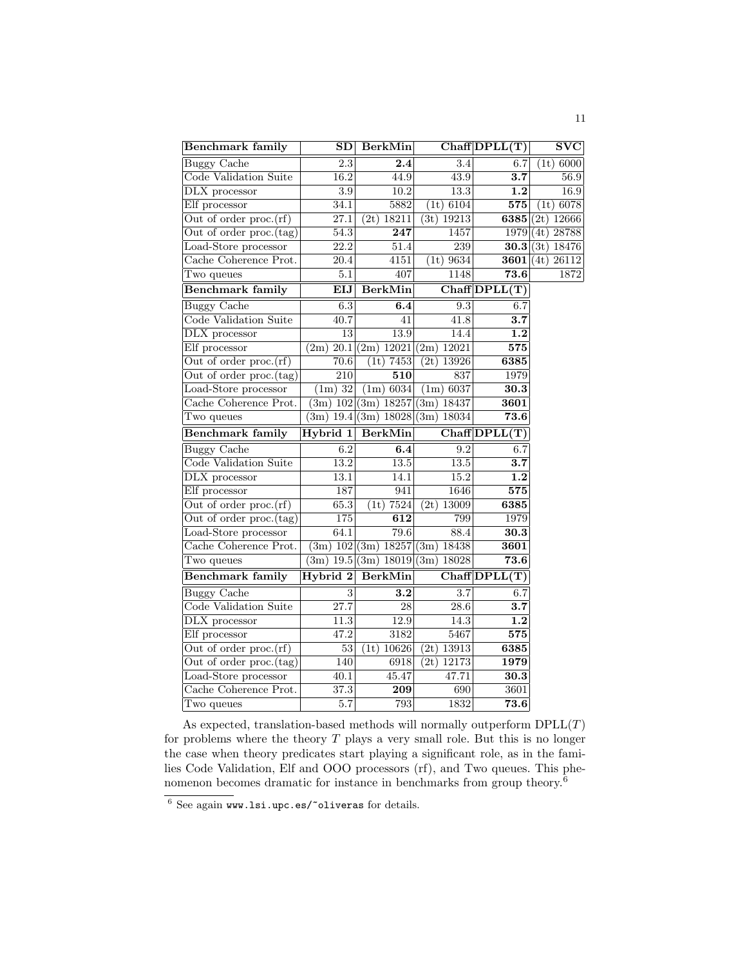| <b>Benchmark family</b>             | SD                        | <b>BerkMin</b>             |                            | $Chaff$ $DPLL(T)$ | SVC           |
|-------------------------------------|---------------------------|----------------------------|----------------------------|-------------------|---------------|
| <b>Buggy Cache</b>                  | 2.3                       | 2.4                        | 3.4                        | 6.7               | (1t) 6000     |
| Code Validation Suite               | 16.2                      | 44.9                       | 43.9                       | $\overline{3.7}$  | 56.9          |
| DLX processor                       | $\overline{3.9}$          | 10.2                       | 13.3                       | $\overline{1.2}$  | 16.9          |
| Elf processor                       | 34.1                      | 5882                       | (1t) 6104                  | 575               | 6078<br>(1t)  |
| Out of order proc.(rf)              | 27.1                      | 18211<br>(2t)              | (3t) 19213                 | 6385              | (2t)<br>12666 |
| Out of order proc.(tag)             | 54.3                      | $\overline{247}$           | 1457                       | 1979              | 28788<br>(4t) |
| Load-Store processor                | $\overline{22.2}$         | 51.4                       | 239                        | 30.3              | (3t)<br>18476 |
| Cache Coherence Prot.               | 20.4                      | 4151                       | 9634<br>(1t)               | 3601              | 26112<br>(4t) |
| Two queues                          | 5.1                       | 407                        | 1148                       | 73.6              | 1872          |
| <b>Benchmark family</b>             | EIJ                       | <b>BerkMin</b>             |                            | Chaff DPLL(T)     |               |
| <b>Buggy Cache</b>                  | 6.3                       | 6.4                        | 9.3                        | 6.7               |               |
| Code Validation Suite               | 40.7                      | 41                         | 41.8                       | $\overline{3.7}$  |               |
| DLX processor                       | 13                        | 13.9                       | 14.4                       | $\overline{1.2}$  |               |
| Elf processor                       | (2m)<br>20.1              | $\overline{(2m)}$<br>12021 | (2m)<br>12021              | 575               |               |
| Out of order $proc.(rf)$            | 70.6                      | 7453<br>(1t)               | 13926<br>(2t)              | 6385              |               |
| Out of order proc.(tag)             | 210                       | 510                        | 837                        | 1979              |               |
| Load-Store processor                | $(1m)$ 32                 | (1m) 6034                  | (1m) 6037                  | 30.3              |               |
| Cache Coherence Prot.               |                           | (3m) 102 (3m) 18257        | (3m)<br>18437              | 3601              |               |
| Two queues                          | $\overline{(3m)}$<br>19.4 | (3m)<br>18028              | $\overline{3}$ m)<br>18034 | 73.6              |               |
|                                     |                           |                            |                            |                   |               |
| Benchmark family                    | Hybrid 1                  | <b>BerkMin</b>             |                            | Chaff DPLL(T)     |               |
| <b>Buggy Cache</b>                  | 6.2                       | 6.4                        | 9.2                        | 6.7               |               |
| Code Validation Suite               | 13.2                      | 13.5                       | $\overline{13.5}$          | $\overline{3.7}$  |               |
| DLX processor                       | 13.1                      | 14.1                       | 15.2                       | 1.2               |               |
| Elf processor                       | 187                       | 941                        | 1646                       | 575               |               |
| Out of order $proc.(rf)$            | 65.3                      | 7524<br>(1t)               | (2t)<br>13009              | 6385              |               |
| Out of order proc.(tag)             | 175                       | $\overline{612}$           | 799                        | 1979              |               |
| Load-Store processor                | 64.1                      | 79.6                       | 88.4                       | 30.3              |               |
| Cache Coherence Prot.               | (3m)                      | 102(3m)<br>18257           | (3m)<br>18438              | 3601              |               |
| Two queues                          | (3m)                      | 19.5(3m) 18019             | (3m)<br>18028              | 73.6              |               |
| <b>Benchmark family</b>             | Hybrid 2                  | <b>BerkMin</b>             |                            | $Chaff$ $DPLL(T)$ |               |
| <b>Buggy Cache</b>                  | 3                         | 3.2                        | 3.7                        | 6.7               |               |
| Code Validation Suite               | 27.7                      | $\overline{28}$            | $\overline{28.6}$          | $\overline{3.7}$  |               |
| DLX processor                       | 11.3                      | 12.9                       | 14.3                       | 1.2               |               |
| Elf processor                       | 47.2                      | 3182                       | 5467                       | 575               |               |
| Out of order $proc.(rf)$            | 53                        | 10626<br>(1t)              | (2t)<br>13913              | 6385              |               |
| Out of order proc.(tag)             | 140                       | 6918                       | (2t)<br>12173              | 1979              |               |
| Load-Store processor                | 40.1                      | 45.47                      | 47.71                      | $\overline{30.3}$ |               |
| Cache Coherence Prot.<br>Two queues | 37.3<br>5.7               | 209<br>793                 | 690<br>1832                | 3601<br>73.6      |               |

As expected, translation-based methods will normally outperform  $DPLL(T)$ for problems where the theory  $T$  plays a very small role. But this is no longer the case when theory predicates start playing a significant role, as in the families Code Validation, Elf and OOO processors (rf), and Two queues. This phenomenon becomes dramatic for instance in benchmarks from group theory.<sup>6</sup>

 $\frac{6}{6}$  See again www.lsi.upc.es/~oliveras for details.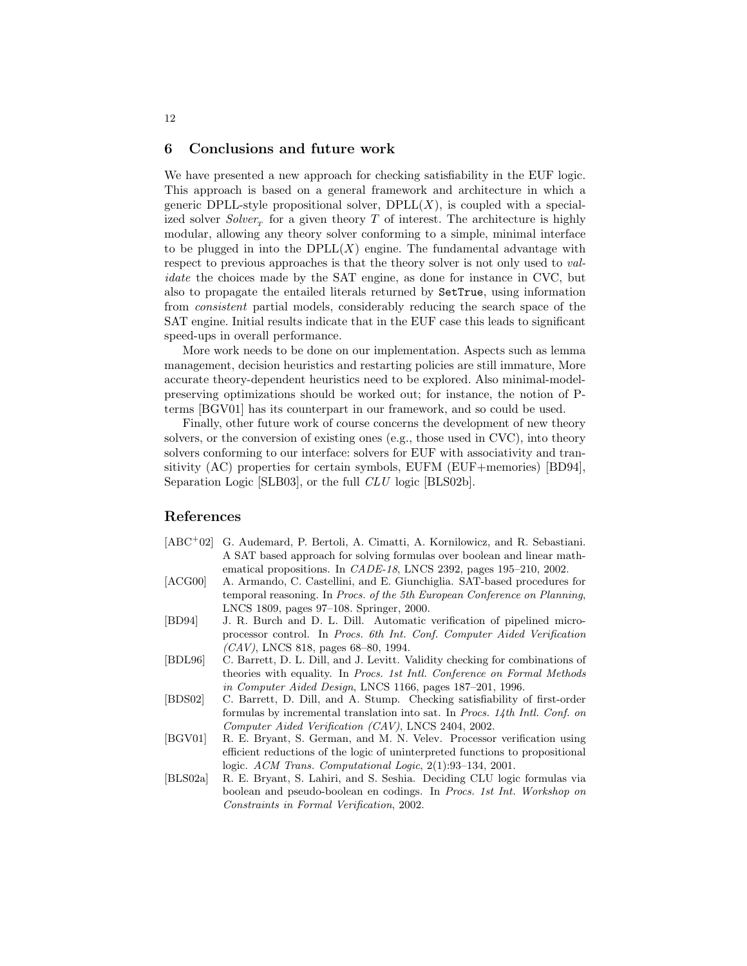### 6 Conclusions and future work

We have presented a new approach for checking satisfiability in the EUF logic. This approach is based on a general framework and architecture in which a generic DPLL-style propositional solver,  $DPLL(X)$ , is coupled with a specialized solver  $Solver<sub>T</sub>$  for a given theory T of interest. The architecture is highly modular, allowing any theory solver conforming to a simple, minimal interface to be plugged in into the  $DPLL(X)$  engine. The fundamental advantage with respect to previous approaches is that the theory solver is not only used to validate the choices made by the SAT engine, as done for instance in CVC, but also to propagate the entailed literals returned by SetTrue, using information from consistent partial models, considerably reducing the search space of the SAT engine. Initial results indicate that in the EUF case this leads to significant speed-ups in overall performance.

More work needs to be done on our implementation. Aspects such as lemma management, decision heuristics and restarting policies are still immature, More accurate theory-dependent heuristics need to be explored. Also minimal-modelpreserving optimizations should be worked out; for instance, the notion of Pterms [BGV01] has its counterpart in our framework, and so could be used.

Finally, other future work of course concerns the development of new theory solvers, or the conversion of existing ones (e.g., those used in CVC), into theory solvers conforming to our interface: solvers for EUF with associativity and transitivity (AC) properties for certain symbols, EUFM (EUF+memories) [BD94], Separation Logic [SLB03], or the full *CLU* logic [BLS02b].

# References

- [ABC<sup>+</sup>02] G. Audemard, P. Bertoli, A. Cimatti, A. Kornilowicz, and R. Sebastiani. A SAT based approach for solving formulas over boolean and linear mathematical propositions. In CADE-18, LNCS 2392, pages 195–210, 2002.
- [ACG00] A. Armando, C. Castellini, and E. Giunchiglia. SAT-based procedures for temporal reasoning. In Procs. of the 5th European Conference on Planning, LNCS 1809, pages 97–108. Springer, 2000.
- [BD94] J. R. Burch and D. L. Dill. Automatic verification of pipelined microprocessor control. In Procs. 6th Int. Conf. Computer Aided Verification  $(CAV)$ , LNCS 818, pages 68–80, 1994.
- [BDL96] C. Barrett, D. L. Dill, and J. Levitt. Validity checking for combinations of theories with equality. In Procs. 1st Intl. Conference on Formal Methods in Computer Aided Design, LNCS 1166, pages 187–201, 1996.
- [BDS02] C. Barrett, D. Dill, and A. Stump. Checking satisfiability of first-order formulas by incremental translation into sat. In Procs. 14th Intl. Conf. on Computer Aided Verification (CAV), LNCS 2404, 2002.
- [BGV01] R. E. Bryant, S. German, and M. N. Velev. Processor verification using efficient reductions of the logic of uninterpreted functions to propositional logic. ACM Trans. Computational Logic, 2(1):93–134, 2001.
- [BLS02a] R. E. Bryant, S. Lahiri, and S. Seshia. Deciding CLU logic formulas via boolean and pseudo-boolean en codings. In Procs. 1st Int. Workshop on Constraints in Formal Verification, 2002.